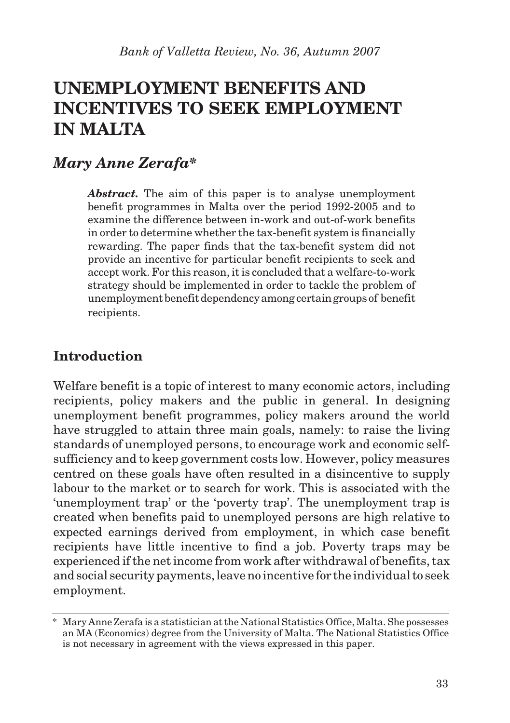# **UNEMPLOYMENT BENEFITS AND INCENTIVES TO SEEK EMPLOYMENT IN MALTA**

### *Mary Anne Zerafa\**

*Abstract.* The aim of this paper is to analyse unemployment benefit programmes in Malta over the period 1992-2005 and to examine the difference between in-work and out-of-work benefits in order to determine whether the tax-benefit system is financially rewarding. The paper finds that the tax-benefit system did not provide an incentive for particular benefit recipients to seek and accept work. For this reason, it is concluded that a welfare-to-work strategy should be implemented in order to tackle the problem of unemployment benefit dependency among certain groups of benefit recipients.

### **Introduction**

Welfare benefit is a topic of interest to many economic actors, including recipients, policy makers and the public in general. In designing unemployment benefit programmes, policy makers around the world have struggled to attain three main goals, namely: to raise the living standards of unemployed persons, to encourage work and economic selfsufficiency and to keep government costs low. However, policy measures centred on these goals have often resulted in a disincentive to supply labour to the market or to search for work. This is associated with the 'unemployment trap' or the 'poverty trap'. The unemployment trap is created when benefits paid to unemployed persons are high relative to expected earnings derived from employment, in which case benefit recipients have little incentive to find a job. Poverty traps may be experienced if the net income from work after withdrawal of benefits, tax and social security payments, leave no incentive for the individual to seek employment.

<sup>\*</sup> Mary Anne Zerafa is a statistician at the National Statistics Office, Malta. She possesses an MA (Economics) degree from the University of Malta. The National Statistics Office is not necessary in agreement with the views expressed in this paper.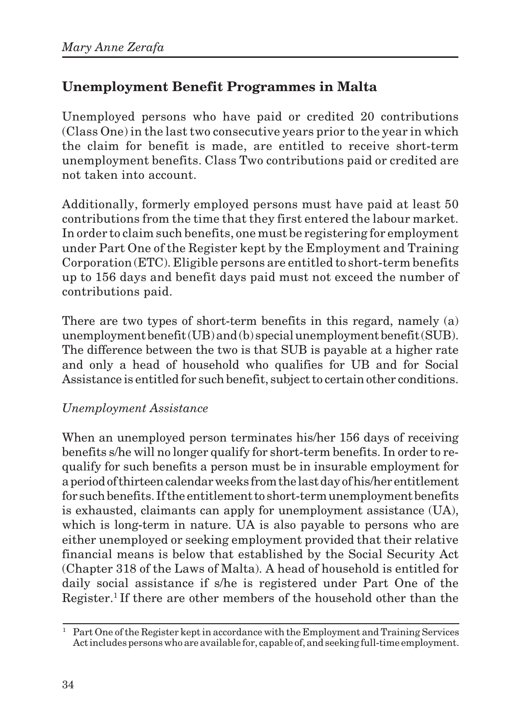# **Unemployment Benefit Programmes in Malta**

Unemployed persons who have paid or credited 20 contributions (Class One) in the last two consecutive years prior to the year in which the claim for benefit is made, are entitled to receive short-term unemployment benefits. Class Two contributions paid or credited are not taken into account.

Additionally, formerly employed persons must have paid at least 50 contributions from the time that they first entered the labour market. In order to claim such benefits, one must be registering for employment under Part One of the Register kept by the Employment and Training Corporation (ETC). Eligible persons are entitled to short-term benefits up to 156 days and benefit days paid must not exceed the number of contributions paid.

There are two types of short-term benefits in this regard, namely (a) unemployment benefit (UB) and (b) special unemployment benefit (SUB). The difference between the two is that SUB is payable at a higher rate and only a head of household who qualifies for UB and for Social Assistance is entitled for such benefit, subject to certain other conditions.

#### *Unemployment Assistance*

When an unemployed person terminates his/her 156 days of receiving benefits s/he will no longer qualify for short-term benefits. In order to requalify for such benefits a person must be in insurable employment for a period of thirteen calendar weeks from the last day of his/her entitlement for such benefits. If the entitlement to short-term unemployment benefits is exhausted, claimants can apply for unemployment assistance (UA), which is long-term in nature. UA is also payable to persons who are either unemployed or seeking employment provided that their relative financial means is below that established by the Social Security Act (Chapter 318 of the Laws of Malta). A head of household is entitled for daily social assistance if s/he is registered under Part One of the Register.1 If there are other members of the household other than the

 $1$  Part One of the Register kept in accordance with the Employment and Training Services Act includes persons who are available for, capable of, and seeking full-time employment.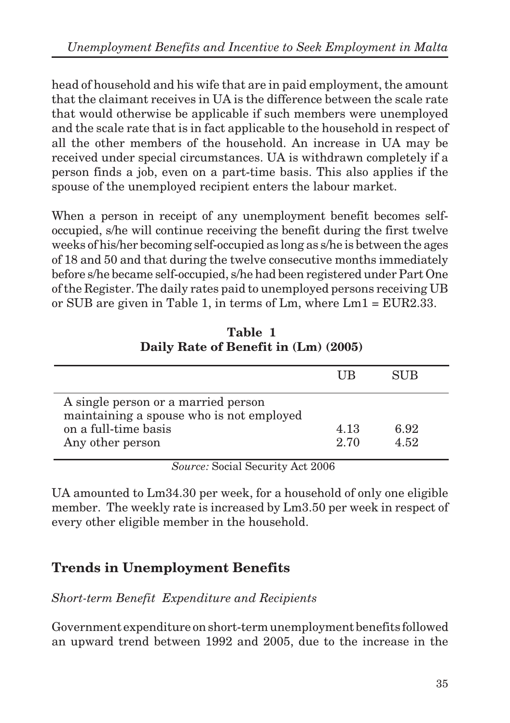head of household and his wife that are in paid employment, the amount that the claimant receives in UA is the difference between the scale rate that would otherwise be applicable if such members were unemployed and the scale rate that is in fact applicable to the household in respect of all the other members of the household. An increase in UA may be received under special circumstances. UA is withdrawn completely if a person finds a job, even on a part-time basis. This also applies if the spouse of the unemployed recipient enters the labour market.

When a person in receipt of any unemployment benefit becomes selfoccupied, s/he will continue receiving the benefit during the first twelve weeks of his/her becoming self-occupied as long as s/he is between the ages of 18 and 50 and that during the twelve consecutive months immediately before s/he became self-occupied, s/he had been registered under Part One of the Register. The daily rates paid to unemployed persons receiving UB or SUB are given in Table 1, in terms of Lm, where Lm1 = EUR2.33.

|                                                                                                                             | ШB           | SUB          |  |  |  |  |  |  |
|-----------------------------------------------------------------------------------------------------------------------------|--------------|--------------|--|--|--|--|--|--|
| A single person or a married person<br>maintaining a spouse who is not employed<br>on a full-time basis<br>Any other person | 4.13<br>2.70 | 6.92<br>4.52 |  |  |  |  |  |  |
| $\sim$ $\sim$ $\sim$<br>$\sim$<br>.                                                                                         |              |              |  |  |  |  |  |  |

**Table 1 Daily Rate of Benefit in (Lm) (2005)**

*Source:* Social Security Act 2006

UA amounted to Lm34.30 per week, for a household of only one eligible member. The weekly rate is increased by Lm3.50 per week in respect of every other eligible member in the household.

# **Trends in Unemployment Benefits**

*Short-term Benefit Expenditure and Recipients*

Government expenditure on short-term unemployment benefits followed an upward trend between 1992 and 2005, due to the increase in the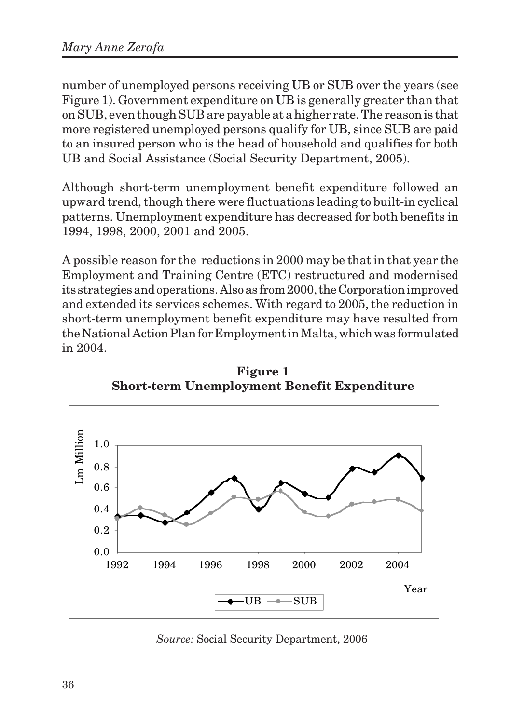number of unemployed persons receiving UB or SUB over the years (see Figure 1). Government expenditure on UB is generally greater than that on SUB, even though SUB are payable at a higher rate. The reason is that more registered unemployed persons qualify for UB, since SUB are paid to an insured person who is the head of household and qualifies for both UB and Social Assistance (Social Security Department, 2005).

Although short-term unemployment benefit expenditure followed an upward trend, though there were fluctuations leading to built-in cyclical patterns. Unemployment expenditure has decreased for both benefits in 1994, 1998, 2000, 2001 and 2005.

A possible reason for the reductions in 2000 may be that in that year the Employment and Training Centre (ETC) restructured and modernised its strategies and operations. Also as from 2000, the Corporation improved and extended its services schemes. With regard to 2005, the reduction in short-term unemployment benefit expenditure may have resulted from the National Action Plan for Employment in Malta, which was formulated in 2004.



**Figure 1 Short-term Unemployment Benefit Expenditure**

*Source:* Social Security Department, 2006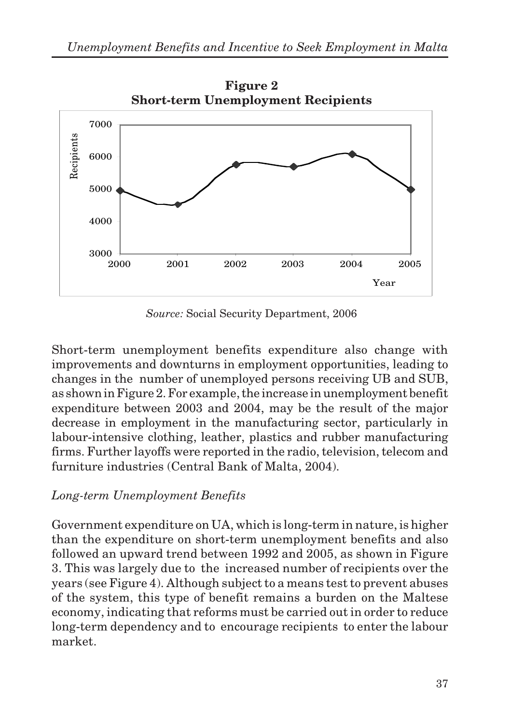

*Source:* Social Security Department, 2006

Short-term unemployment benefits expenditure also change with improvements and downturns in employment opportunities, leading to changes in the number of unemployed persons receiving UB and SUB, as shown in Figure 2. For example, the increase in unemployment benefit expenditure between 2003 and 2004, may be the result of the major decrease in employment in the manufacturing sector, particularly in labour-intensive clothing, leather, plastics and rubber manufacturing firms. Further layoffs were reported in the radio, television, telecom and furniture industries (Central Bank of Malta, 2004).

### *Long-term Unemployment Benefits*

Government expenditure on UA, which is long-term in nature, is higher than the expenditure on short-term unemployment benefits and also followed an upward trend between 1992 and 2005, as shown in Figure 3. This was largely due to the increased number of recipients over the years (see Figure 4). Although subject to a means test to prevent abuses of the system, this type of benefit remains a burden on the Maltese economy, indicating that reforms must be carried out in order to reduce long-term dependency and to encourage recipients to enter the labour market.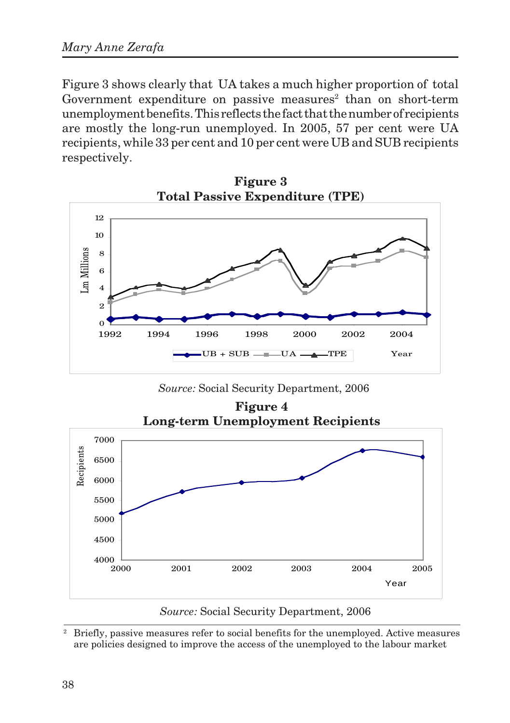Figure 3 shows clearly that UA takes a much higher proportion of total Government expenditure on passive measures<sup>2</sup> than on short-term unemployment benefits. This reflects the fact that the number of recipients are mostly the long-run unemployed. In 2005, 57 per cent were UA recipients, while 33 per cent and 10 per cent were UB and SUB recipients respectively.



**Figure 3**

*Source:* Social Security Department, 2006



*Source:* Social Security Department, 2006

<sup>2</sup> Briefly, passive measures refer to social benefits for the unemployed. Active measures are policies designed to improve the access of the unemployed to the labour market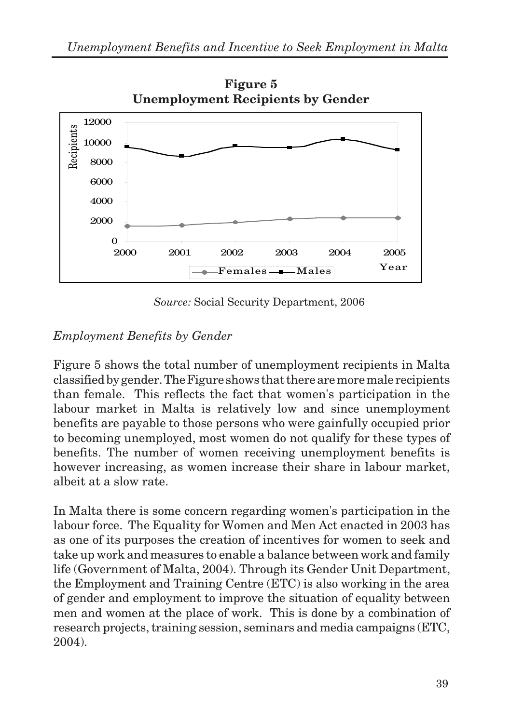

**Figure 5 Unemployment Recipients by Gender**

*Source:* Social Security Department, 2006

# *Employment Benefits by Gender*

Figure 5 shows the total number of unemployment recipients in Malta classified by gender. The Figure shows that there are more male recipients than female. This reflects the fact that women's participation in the labour market in Malta is relatively low and since unemployment benefits are payable to those persons who were gainfully occupied prior to becoming unemployed, most women do not qualify for these types of benefits. The number of women receiving unemployment benefits is however increasing, as women increase their share in labour market, albeit at a slow rate.

In Malta there is some concern regarding women's participation in the labour force. The Equality for Women and Men Act enacted in 2003 has as one of its purposes the creation of incentives for women to seek and take up work and measures to enable a balance between work and family life (Government of Malta, 2004). Through its Gender Unit Department, the Employment and Training Centre (ETC) is also working in the area of gender and employment to improve the situation of equality between men and women at the place of work. This is done by a combination of research projects, training session, seminars and media campaigns (ETC, 2004).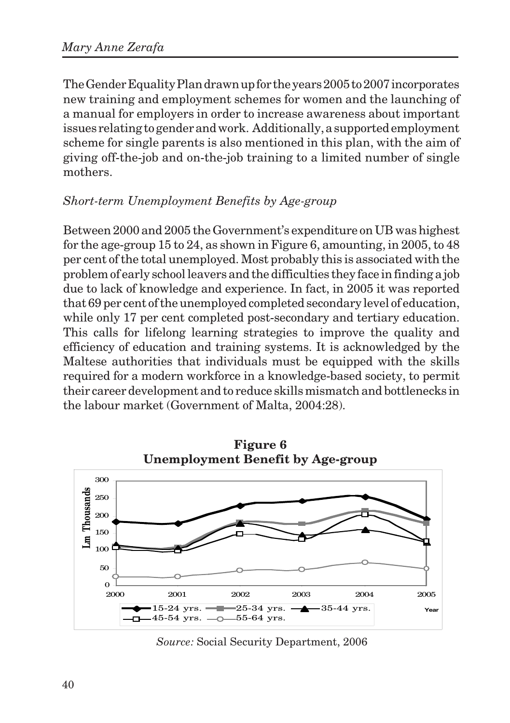The Gender Equality Plan drawn up for the years 2005 to 2007 incorporates new training and employment schemes for women and the launching of a manual for employers in order to increase awareness about important issues relating to gender and work. Additionally, a supported employment scheme for single parents is also mentioned in this plan, with the aim of giving off-the-job and on-the-job training to a limited number of single mothers.

#### *Short-term Unemployment Benefits by Age-group*

Between 2000 and 2005 the Government's expenditure on UB was highest for the age-group 15 to 24, as shown in Figure 6, amounting, in 2005, to 48 per cent of the total unemployed. Most probably this is associated with the problem of early school leavers and the difficulties they face in finding a job due to lack of knowledge and experience. In fact, in 2005 it was reported that 69 per cent of the unemployed completed secondary level of education, while only 17 per cent completed post-secondary and tertiary education. This calls for lifelong learning strategies to improve the quality and efficiency of education and training systems. It is acknowledged by the Maltese authorities that individuals must be equipped with the skills required for a modern workforce in a knowledge-based society, to permit their career development and to reduce skills mismatch and bottlenecks in the labour market (Government of Malta, 2004:28).



*Source:* Social Security Department, 2006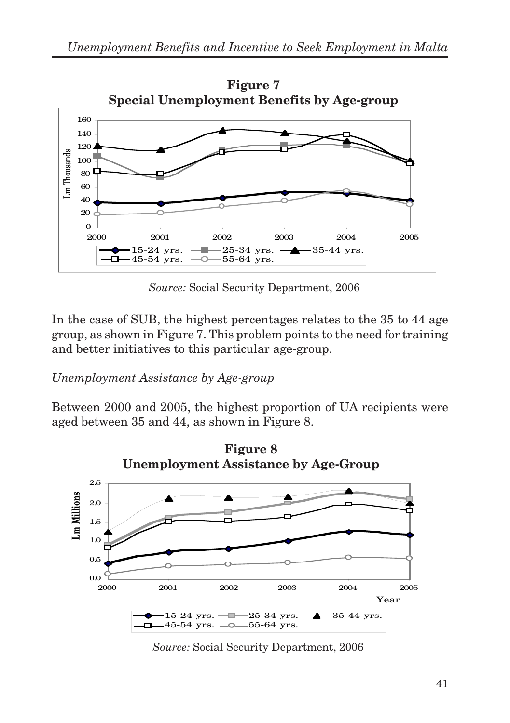

*Source:* Social Security Department, 2006

In the case of SUB, the highest percentages relates to the 35 to 44 age group, as shown in Figure 7. This problem points to the need for training and better initiatives to this particular age-group.

#### *Unemployment Assistance by Age-group*

Between 2000 and 2005, the highest proportion of UA recipients were aged between 35 and 44, as shown in Figure 8.



*Source:* Social Security Department, 2006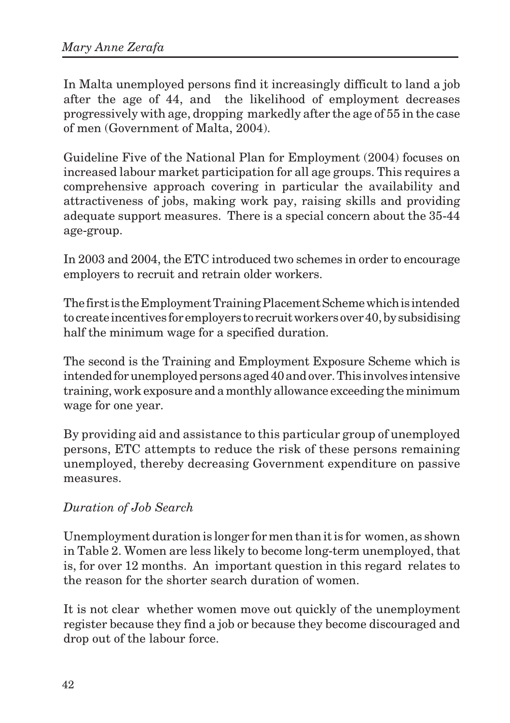In Malta unemployed persons find it increasingly difficult to land a job after the age of 44, and the likelihood of employment decreases progressively with age, dropping markedly after the age of 55 in the case of men (Government of Malta, 2004).

Guideline Five of the National Plan for Employment (2004) focuses on increased labour market participation for all age groups. This requires a comprehensive approach covering in particular the availability and attractiveness of jobs, making work pay, raising skills and providing adequate support measures. There is a special concern about the 35-44 age-group.

In 2003 and 2004, the ETC introduced two schemes in order to encourage employers to recruit and retrain older workers.

The first is the Employment Training Placement Scheme which is intended to create incentives for employers to recruit workers over 40, by subsidising half the minimum wage for a specified duration.

The second is the Training and Employment Exposure Scheme which is intended for unemployed persons aged 40 and over. This involves intensive training, work exposure and a monthly allowance exceeding the minimum wage for one year.

By providing aid and assistance to this particular group of unemployed persons, ETC attempts to reduce the risk of these persons remaining unemployed, thereby decreasing Government expenditure on passive measures.

#### *Duration of Job Search*

Unemployment duration is longer for men than it is for women, as shown in Table 2. Women are less likely to become long-term unemployed, that is, for over 12 months. An important question in this regard relates to the reason for the shorter search duration of women.

It is not clear whether women move out quickly of the unemployment register because they find a job or because they become discouraged and drop out of the labour force.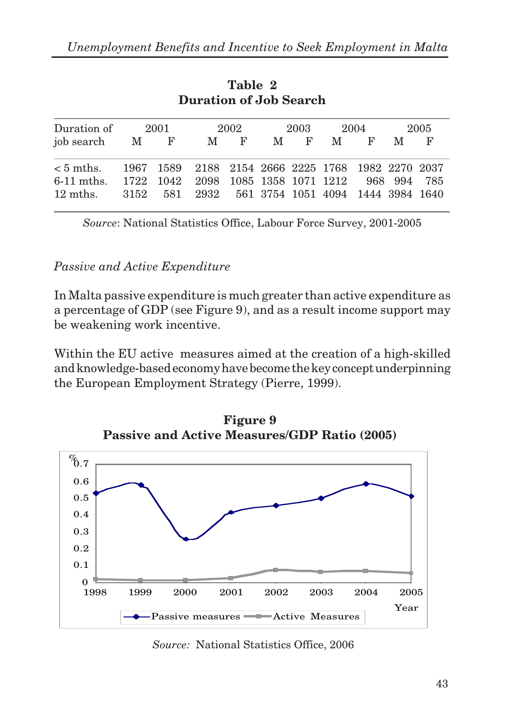| <b>Duration of Job Search</b>                                               |      |  |                                                   |     |      |     |      |     |      |     |
|-----------------------------------------------------------------------------|------|--|---------------------------------------------------|-----|------|-----|------|-----|------|-----|
| Duration of                                                                 | 2001 |  | 2002                                              |     | 2003 |     | 2004 |     | 2005 |     |
| job search M F                                                              |      |  |                                                   | M F |      | M F |      | M F | M    | F   |
| $< 5$ mths.                                                                 |      |  | 1967 1589 2188 2154 2666 2225 1768 1982 2270 2037 |     |      |     |      |     |      |     |
| 6-11 mths. 1722 1042 2098 1085 1358 1071 1212 968 994<br>$12 \text{ mths.}$ |      |  | 3152 581 2932 561 3754 1051 4094 1444 3984 1640   |     |      |     |      |     |      | 785 |

**Table 2 Duration of Job Search**

*Source*: National Statistics Office, Labour Force Survey, 2001-2005

#### *Passive and Active Expenditure*

In Malta passive expenditure is much greater than active expenditure as a percentage of GDP (see Figure 9), and as a result income support may be weakening work incentive.

Within the EU active measures aimed at the creation of a high-skilled and knowledge-based economy have become the key concept underpinning the European Employment Strategy (Pierre, 1999).



**Figure 9 Passive and Active Measures/GDP Ratio (2005)**

*Source:* National Statistics Office, 2006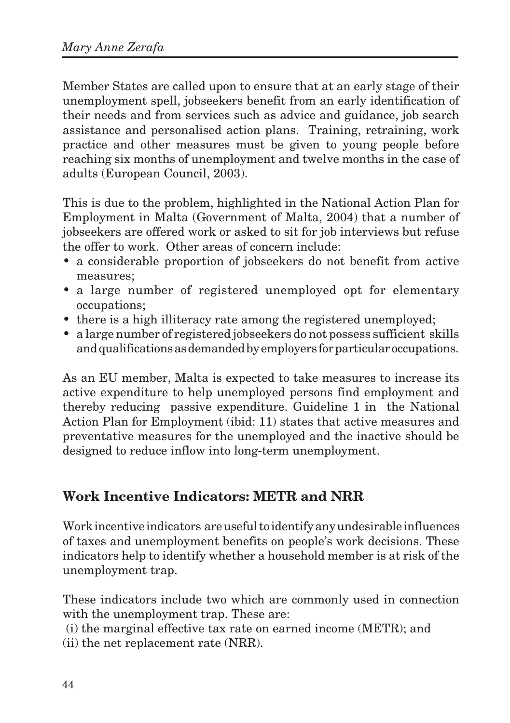Member States are called upon to ensure that at an early stage of their unemployment spell, jobseekers benefit from an early identification of their needs and from services such as advice and guidance, job search assistance and personalised action plans. Training, retraining, work practice and other measures must be given to young people before reaching six months of unemployment and twelve months in the case of adults (European Council, 2003).

This is due to the problem, highlighted in the National Action Plan for Employment in Malta (Government of Malta, 2004) that a number of jobseekers are offered work or asked to sit for job interviews but refuse the offer to work. Other areas of concern include:

- a considerable proportion of jobseekers do not benefit from active measures;
- a large number of registered unemployed opt for elementary occupations;
- there is a high illiteracy rate among the registered unemployed;
- a large number of registered jobseekers do not possess sufficient skills and qualifications as demanded by employers for particular occupations.

As an EU member, Malta is expected to take measures to increase its active expenditure to help unemployed persons find employment and thereby reducing passive expenditure. Guideline 1 in the National Action Plan for Employment (ibid: 11) states that active measures and preventative measures for the unemployed and the inactive should be designed to reduce inflow into long-term unemployment.

### **Work Incentive Indicators: METR and NRR**

Work incentive indicators are useful to identify any undesirable influences of taxes and unemployment benefits on people's work decisions. These indicators help to identify whether a household member is at risk of the unemployment trap.

These indicators include two which are commonly used in connection with the unemployment trap. These are:

(i) the marginal effective tax rate on earned income (METR); and

(ii) the net replacement rate (NRR).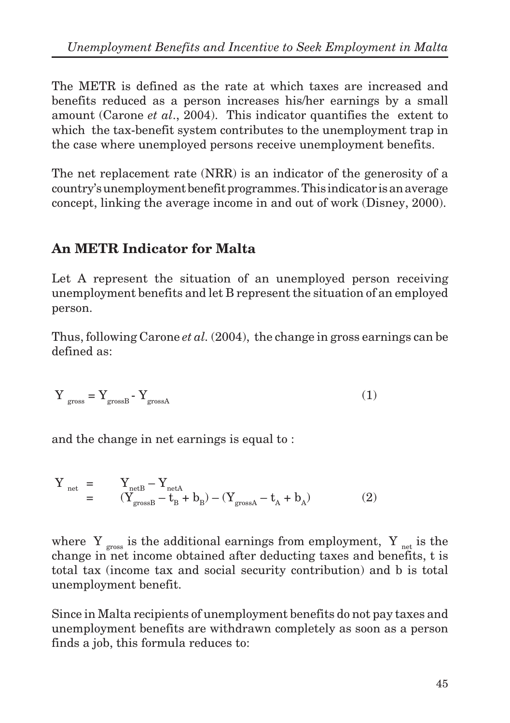The METR is defined as the rate at which taxes are increased and benefits reduced as a person increases his/her earnings by a small amount (Carone *et al*., 2004). This indicator quantifies the extent to which the tax-benefit system contributes to the unemployment trap in the case where unemployed persons receive unemployment benefits.

The net replacement rate (NRR) is an indicator of the generosity of a country's unemployment benefit programmes. This indicator is an average concept, linking the average income in and out of work (Disney, 2000).

### **An METR Indicator for Malta**

Let A represent the situation of an unemployed person receiving unemployment benefits and let B represent the situation of an employed person.

Thus, following Carone *et al.* (2004), the change in gross earnings can be defined as:

$$
Y_{\rm gross} = Y_{\rm grossB} - Y_{\rm grossA}
$$
 (1)

and the change in net earnings is equal to :

$$
\begin{array}{ccc} Y_{\text{net}} & = & Y_{\text{net}B} - Y_{\text{net}A} \\ & = & (Y_{\text{gross}B} - t_B + b_B) - (Y_{\text{gross}A} - t_A + b_A) \end{array} \tag{2}
$$

where  $Y_{\text{cross}}$  is the additional earnings from employment,  $Y_{\text{net}}$  is the change in net income obtained after deducting taxes and benefits, t is total tax (income tax and social security contribution) and b is total unemployment benefit.

Since in Malta recipients of unemployment benefits do not pay taxes and unemployment benefits are withdrawn completely as soon as a person finds a job, this formula reduces to: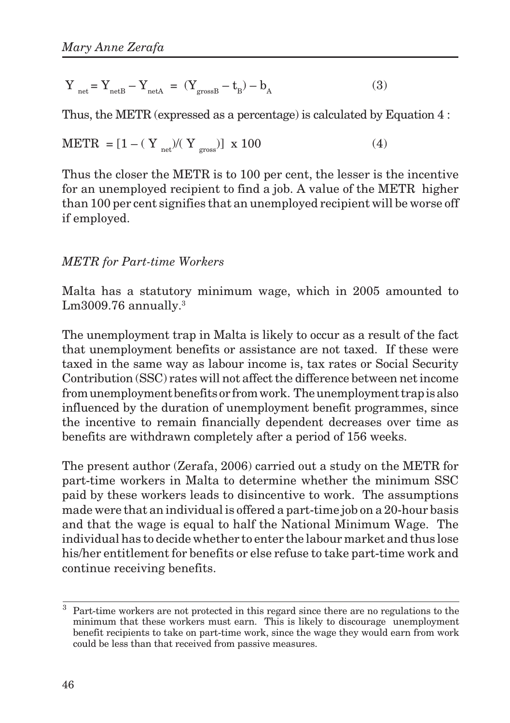$$
Y_{\text{net}} = Y_{\text{netB}} - Y_{\text{netA}} = (Y_{\text{grossB}} - t_{\text{B}}) - b_{\text{A}}
$$
 (3)

Thus, the METR (expressed as a percentage) is calculated by Equation 4 :

$$
METR = [1 - (Y_{net})/(Y_{gross})] \times 100
$$
 (4)

Thus the closer the METR is to 100 per cent, the lesser is the incentive for an unemployed recipient to find a job. A value of the METR higher than 100 per cent signifies that an unemployed recipient will be worse off if employed.

#### *METR for Part-time Workers*

Malta has a statutory minimum wage, which in 2005 amounted to  $Lm3009.76$  annually.<sup>3</sup>

The unemployment trap in Malta is likely to occur as a result of the fact that unemployment benefits or assistance are not taxed. If these were taxed in the same way as labour income is, tax rates or Social Security Contribution (SSC) rates will not affect the difference between net income from unemployment benefits or from work. The unemployment trap is also influenced by the duration of unemployment benefit programmes, since the incentive to remain financially dependent decreases over time as benefits are withdrawn completely after a period of 156 weeks.

The present author (Zerafa, 2006) carried out a study on the METR for part-time workers in Malta to determine whether the minimum SSC paid by these workers leads to disincentive to work. The assumptions made were that an individual is offered a part-time job on a 20-hour basis and that the wage is equal to half the National Minimum Wage. The individual has to decide whether to enter the labour market and thus lose his/her entitlement for benefits or else refuse to take part-time work and continue receiving benefits.

 $\overline{3}$  Part-time workers are not protected in this regard since there are no regulations to the minimum that these workers must earn. This is likely to discourage unemployment benefit recipients to take on part-time work, since the wage they would earn from work could be less than that received from passive measures.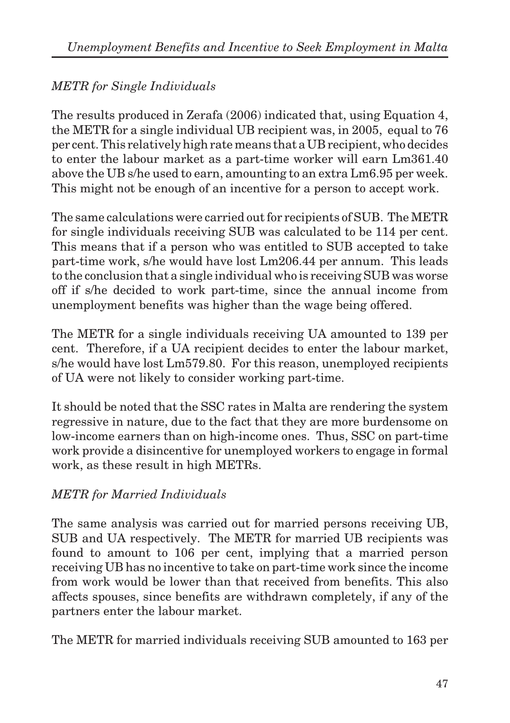### *METR for Single Individuals*

The results produced in Zerafa (2006) indicated that, using Equation 4, the METR for a single individual UB recipient was, in 2005, equal to 76 per cent. This relatively high rate means that a UB recipient, who decides to enter the labour market as a part-time worker will earn Lm361.40 above the UB s/he used to earn, amounting to an extra Lm6.95 per week. This might not be enough of an incentive for a person to accept work.

The same calculations were carried out for recipients of SUB. The METR for single individuals receiving SUB was calculated to be 114 per cent. This means that if a person who was entitled to SUB accepted to take part-time work, s/he would have lost Lm206.44 per annum. This leads to the conclusion that a single individual who is receiving SUB was worse off if s/he decided to work part-time, since the annual income from unemployment benefits was higher than the wage being offered.

The METR for a single individuals receiving UA amounted to 139 per cent. Therefore, if a UA recipient decides to enter the labour market, s/he would have lost Lm579.80. For this reason, unemployed recipients of UA were not likely to consider working part-time.

It should be noted that the SSC rates in Malta are rendering the system regressive in nature, due to the fact that they are more burdensome on low-income earners than on high-income ones. Thus, SSC on part-time work provide a disincentive for unemployed workers to engage in formal work, as these result in high METRs.

### *METR for Married Individuals*

The same analysis was carried out for married persons receiving UB, SUB and UA respectively. The METR for married UB recipients was found to amount to 106 per cent, implying that a married person receiving UB has no incentive to take on part-time work since the income from work would be lower than that received from benefits. This also affects spouses, since benefits are withdrawn completely, if any of the partners enter the labour market.

The METR for married individuals receiving SUB amounted to 163 per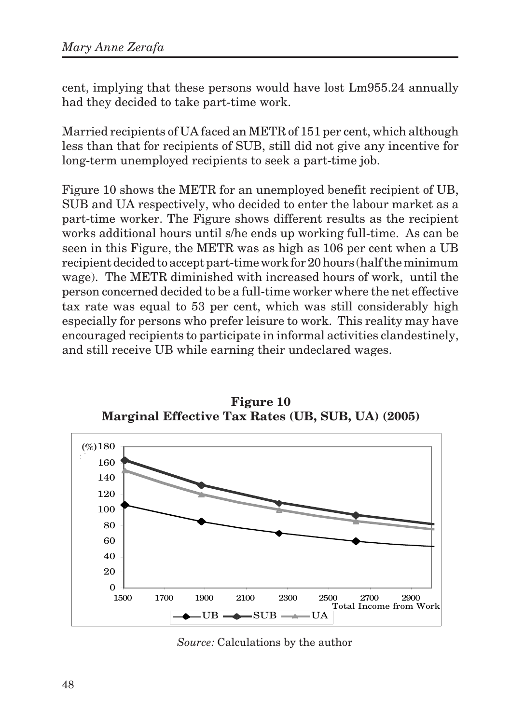cent, implying that these persons would have lost Lm955.24 annually had they decided to take part-time work.

Married recipients of UA faced an METR of 151 per cent, which although less than that for recipients of SUB, still did not give any incentive for long-term unemployed recipients to seek a part-time job.

Figure 10 shows the METR for an unemployed benefit recipient of UB, SUB and UA respectively, who decided to enter the labour market as a part-time worker. The Figure shows different results as the recipient works additional hours until s/he ends up working full-time. As can be seen in this Figure, the METR was as high as 106 per cent when a UB recipient decided to accept part-time work for 20 hours (half the minimum wage). The METR diminished with increased hours of work, until the person concerned decided to be a full-time worker where the net effective tax rate was equal to 53 per cent, which was still considerably high especially for persons who prefer leisure to work. This reality may have encouraged recipients to participate in informal activities clandestinely, and still receive UB while earning their undeclared wages.



**Figure 10 Marginal Effective Tax Rates (UB, SUB, UA) (2005)**

*Source:* Calculations by the author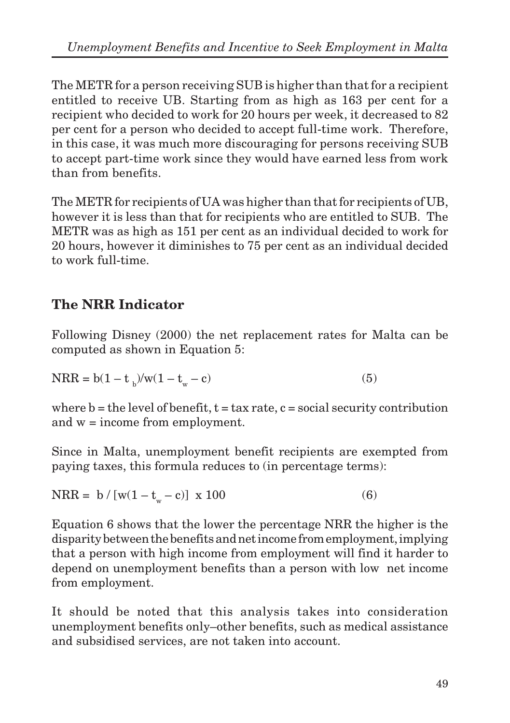The METR for a person receiving SUB is higher than that for a recipient entitled to receive UB. Starting from as high as 163 per cent for a recipient who decided to work for 20 hours per week, it decreased to 82 per cent for a person who decided to accept full-time work. Therefore, in this case, it was much more discouraging for persons receiving SUB to accept part-time work since they would have earned less from work than from benefits.

The METR for recipients of UA was higher than that for recipients of UB, however it is less than that for recipients who are entitled to SUB. The METR was as high as 151 per cent as an individual decided to work for 20 hours, however it diminishes to 75 per cent as an individual decided to work full-time.

# **The NRR Indicator**

Following Disney (2000) the net replacement rates for Malta can be computed as shown in Equation 5:

$$
NRR = b(1 - t_{b})/w(1 - t_{w} - c)
$$
\n(5)

where  $b =$  the level of benefit,  $t =$  tax rate,  $c =$  social security contribution and w = income from employment.

Since in Malta, unemployment benefit recipients are exempted from paying taxes, this formula reduces to (in percentage terms):

$$
NRR = b / [w(1 - t_w - c)] \times 100
$$
 (6)

Equation 6 shows that the lower the percentage NRR the higher is the disparity between the benefits and net income from employment, implying that a person with high income from employment will find it harder to depend on unemployment benefits than a person with low net income from employment.

It should be noted that this analysis takes into consideration unemployment benefits only–other benefits, such as medical assistance and subsidised services, are not taken into account.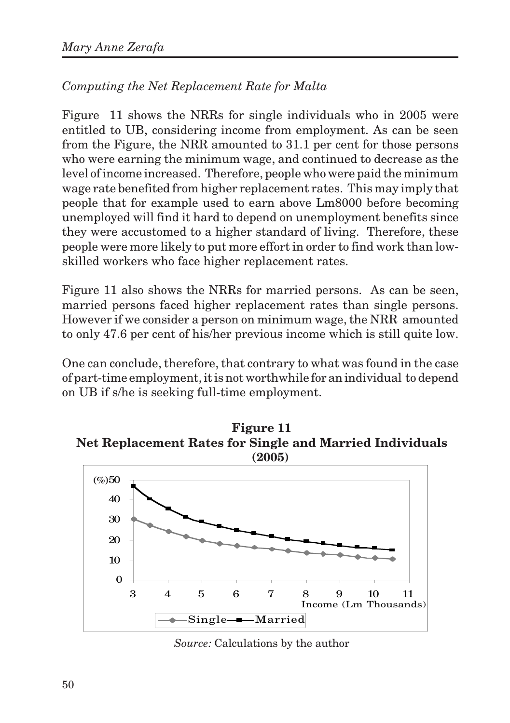### *Computing the Net Replacement Rate for Malta*

Figure 11 shows the NRRs for single individuals who in 2005 were entitled to UB, considering income from employment. As can be seen from the Figure, the NRR amounted to 31.1 per cent for those persons who were earning the minimum wage, and continued to decrease as the level of income increased. Therefore, people who were paid the minimum wage rate benefited from higher replacement rates. This may imply that people that for example used to earn above Lm8000 before becoming unemployed will find it hard to depend on unemployment benefits since they were accustomed to a higher standard of living. Therefore, these people were more likely to put more effort in order to find work than lowskilled workers who face higher replacement rates.

Figure 11 also shows the NRRs for married persons. As can be seen, married persons faced higher replacement rates than single persons. However if we consider a person on minimum wage, the NRR amounted to only 47.6 per cent of his/her previous income which is still quite low.

One can conclude, therefore, that contrary to what was found in the case of part-time employment, it is not worthwhile for an individual to depend on UB if s/he is seeking full-time employment.





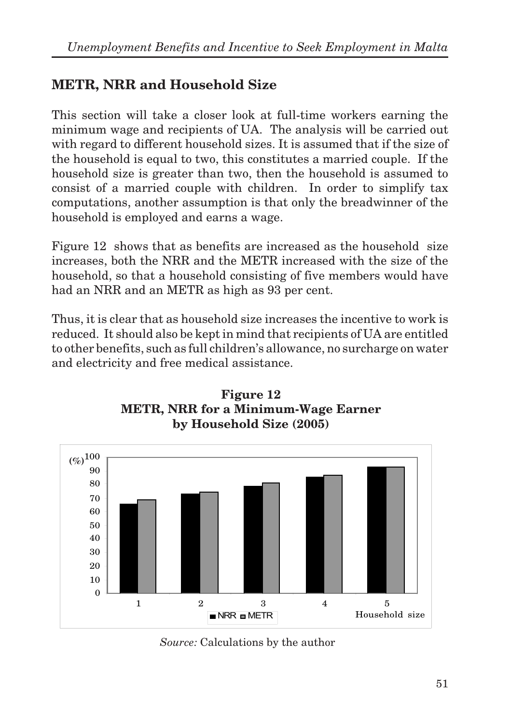# **METR, NRR and Household Size**

This section will take a closer look at full-time workers earning the minimum wage and recipients of UA. The analysis will be carried out with regard to different household sizes. It is assumed that if the size of the household is equal to two, this constitutes a married couple. If the household size is greater than two, then the household is assumed to consist of a married couple with children. In order to simplify tax computations, another assumption is that only the breadwinner of the household is employed and earns a wage.

Figure 12 shows that as benefits are increased as the household size increases, both the NRR and the METR increased with the size of the household, so that a household consisting of five members would have had an NRR and an METR as high as 93 per cent.

Thus, it is clear that as household size increases the incentive to work is reduced. It should also be kept in mind that recipients of UA are entitled to other benefits, such as full children's allowance, no surcharge on water and electricity and free medical assistance.



**Figure 12 METR, NRR for a Minimum-Wage Earner by Household Size (2005)**

*Source:* Calculations by the author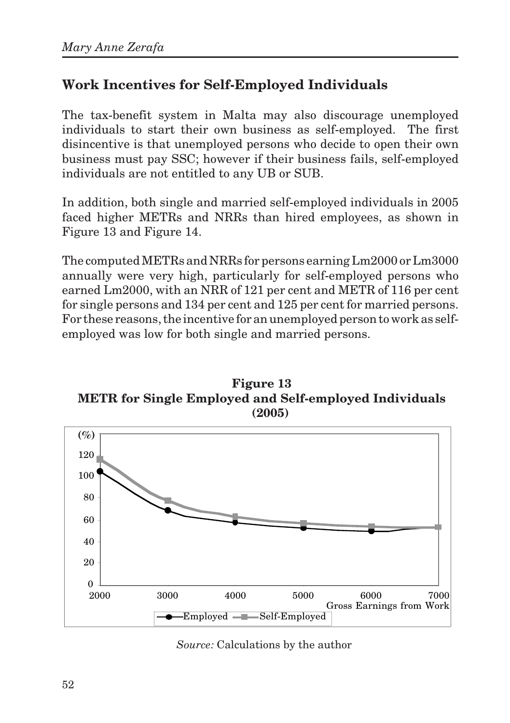# **Work Incentives for Self-Employed Individuals**

The tax-benefit system in Malta may also discourage unemployed individuals to start their own business as self-employed. The first disincentive is that unemployed persons who decide to open their own business must pay SSC; however if their business fails, self-employed individuals are not entitled to any UB or SUB.

In addition, both single and married self-employed individuals in 2005 faced higher METRs and NRRs than hired employees, as shown in Figure 13 and Figure 14.

The computed METRs and NRRs for persons earning Lm2000 or Lm3000 annually were very high, particularly for self-employed persons who earned Lm2000, with an NRR of 121 per cent and METR of 116 per cent for single persons and 134 per cent and 125 per cent for married persons. For these reasons, the incentive for an unemployed person to work as selfemployed was low for both single and married persons.





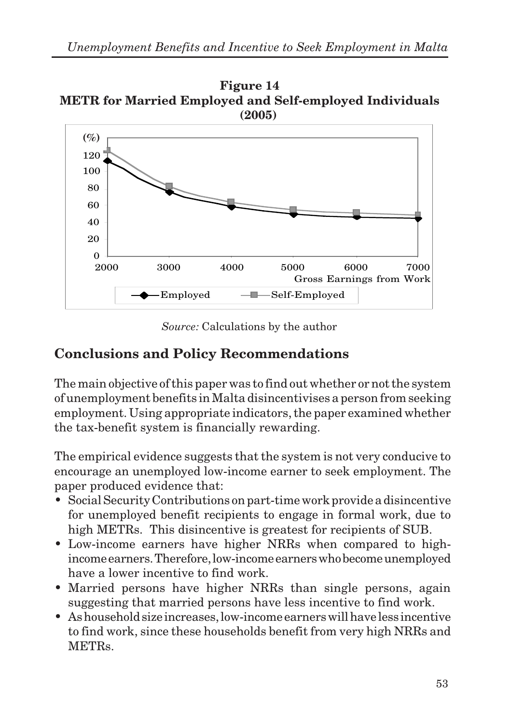



*Source:* Calculations by the author

### **Conclusions and Policy Recommendations**

The main objective of this paper was to find out whether or not the system of unemployment benefits in Malta disincentivises a person from seeking employment. Using appropriate indicators, the paper examined whether the tax-benefit system is financially rewarding.

The empirical evidence suggests that the system is not very conducive to encourage an unemployed low-income earner to seek employment. The paper produced evidence that:

- Social Security Contributions on part-time work provide a disincentive for unemployed benefit recipients to engage in formal work, due to high METRs. This disincentive is greatest for recipients of SUB.
- Low-income earners have higher NRRs when compared to highincome earners. Therefore, low-income earners who become unemployed have a lower incentive to find work.
- Married persons have higher NRRs than single persons, again suggesting that married persons have less incentive to find work.
- As household size increases, low-income earners will have less incentive to find work, since these households benefit from very high NRRs and METRs.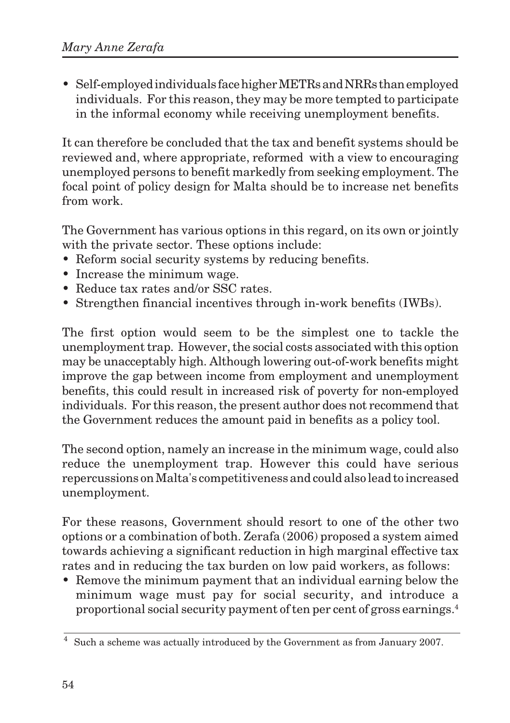• Self-employed individuals face higher METRs and NRRs than employed individuals. For this reason, they may be more tempted to participate in the informal economy while receiving unemployment benefits.

It can therefore be concluded that the tax and benefit systems should be reviewed and, where appropriate, reformed with a view to encouraging unemployed persons to benefit markedly from seeking employment. The focal point of policy design for Malta should be to increase net benefits from work.

The Government has various options in this regard, on its own or jointly with the private sector. These options include:

- Reform social security systems by reducing benefits.
- Increase the minimum wage.
- Reduce tax rates and/or SSC rates.
- Strengthen financial incentives through in-work benefits (IWBs).

The first option would seem to be the simplest one to tackle the unemployment trap. However, the social costs associated with this option may be unacceptably high. Although lowering out-of-work benefits might improve the gap between income from employment and unemployment benefits, this could result in increased risk of poverty for non-employed individuals. For this reason, the present author does not recommend that the Government reduces the amount paid in benefits as a policy tool.

The second option, namely an increase in the minimum wage, could also reduce the unemployment trap. However this could have serious repercussions on Malta's competitiveness and could also lead to increased unemployment.

For these reasons, Government should resort to one of the other two options or a combination of both. Zerafa (2006) proposed a system aimed towards achieving a significant reduction in high marginal effective tax rates and in reducing the tax burden on low paid workers, as follows:

• Remove the minimum payment that an individual earning below the minimum wage must pay for social security, and introduce a proportional social security payment of ten per cent of gross earnings.4

<sup>4</sup> Such a scheme was actually introduced by the Government as from January 2007.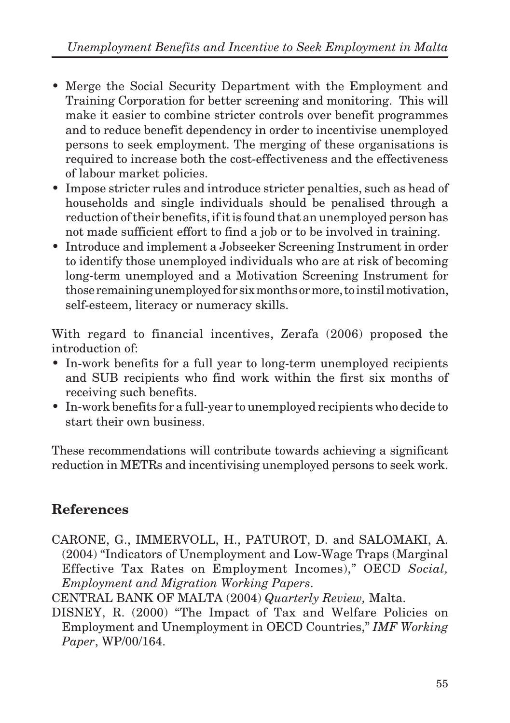- Merge the Social Security Department with the Employment and Training Corporation for better screening and monitoring. This will make it easier to combine stricter controls over benefit programmes and to reduce benefit dependency in order to incentivise unemployed persons to seek employment. The merging of these organisations is required to increase both the cost-effectiveness and the effectiveness of labour market policies.
- Impose stricter rules and introduce stricter penalties, such as head of households and single individuals should be penalised through a reduction of their benefits, if it is found that an unemployed person has not made sufficient effort to find a job or to be involved in training.
- Introduce and implement a Jobseeker Screening Instrument in order to identify those unemployed individuals who are at risk of becoming long-term unemployed and a Motivation Screening Instrument for those remaining unemployed for six months or more, to instil motivation, self-esteem, literacy or numeracy skills.

With regard to financial incentives, Zerafa (2006) proposed the introduction of:

- In-work benefits for a full year to long-term unemployed recipients and SUB recipients who find work within the first six months of receiving such benefits.
- In-work benefits for a full-year to unemployed recipients who decide to start their own business.

These recommendations will contribute towards achieving a significant reduction in METRs and incentivising unemployed persons to seek work.

# **References**

CARONE, G., IMMERVOLL, H., PATUROT, D. and SALOMAKI, A. (2004) "Indicators of Unemployment and Low-Wage Traps (Marginal Effective Tax Rates on Employment Incomes)," OECD *Social, Employment and Migration Working Papers*.

CENTRAL BANK OF MALTA (2004) *Quarterly Review,* Malta.

DISNEY, R. (2000) "The Impact of Tax and Welfare Policies on Employment and Unemployment in OECD Countries," *IMF Working Paper*, WP/00/164.